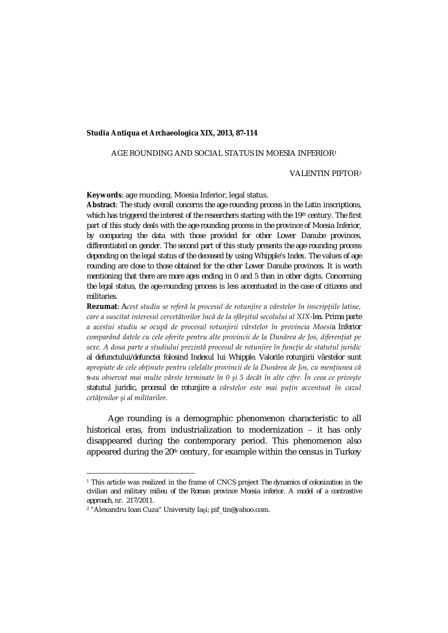## **Studia Antiqua et Archaeologica XIX, 2013, 87-114**

## AGE ROUNDING AND SOCIAL STATUS IN MOESIA INFERIOR1

### VALENTIN PIFTOR2

**Keywords***:* age rounding, Moesia Inferior, legal status.

**Abstract**: *The study overall concerns the age-rounding process in the Latin inscriptions, which has triggered the interest of the researchers starting with the 19th century. The first part of this study deals with the age-rounding process in the province of Moesia Inferior, by comparing the data with those provided for other Lower Danube provinces, differentiated on gender. The second part of this study presents the age-rounding process depending on the legal status of the deceased by using Whipple's Index. The values of age rounding are close to those obtained for the other Lower Danube provinces. It is worth mentioning that there are more ages ending in 0 and 5 than in other digits. Concerning the legal status, the age-rounding process is less accentuated in the case of citizens and militaries.*

**Rezumat**: *Acest studiu se referă la procesul de rotunjire a vârstelor în inscripțiile latine, care a suscitat interesul cercetătorilor încă de la sfârșitul secolului al XIX-lea. Prima parte a acestui studiu se ocupă de procesul rotunjirii vârstelor în provincia Moesia Inferior comparând datele cu cele oferite pentru alte provincii de la Dunărea de Jos, diferențiat pe sexe. A doua parte a studiului prezintă procesul de rotunjire în funcție de statutul juridic al defunctului/defunctei folosind Indexul lui Whipple. Valorile rotunjirii vârstelor sunt apropiate de cele obținute pentru celelalte provincii de la Dunărea de Jos, cu mențiunea că s-au observat mai multe vârste terminate în 0 și 5 decât în alte cifre. În ceea ce privește statutul juridic, procesul de rotunjire a vârstelor este mai puțin accentuat în cazul cetățenilor și al militarilor.*

Age rounding is a demographic phenomenon characteristic to all historical eras, from industrialization to modernization – it has only disappeared during the contemporary period. This phenomenon also appeared during the 20<sup>th</sup> century, for example within the census in Turkey

 $\overline{\phantom{a}}$ 

<sup>1</sup> This article was realized in the frame of CNCS project *The dynamics of colonization in the civilian and military milieu of the Roman province Moesia inferior. A model of a contrastive approach*, nr. 217/2011.

<sup>2</sup> "Alexandru Ioan Cuza" University Iaşi; pif\_tin@yahoo.com.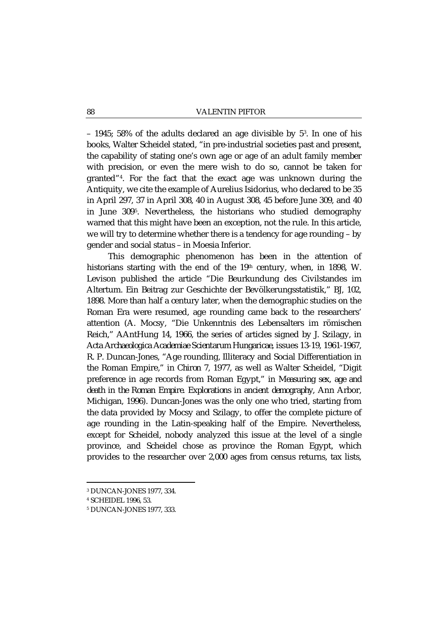– 1945; 58% of the adults declared an age divisible by 53. In one of his books, Walter Scheidel stated, "in pre-industrial societies past and present, the capability of stating one's own age or age of an adult family member with precision, or even the mere wish to do so, cannot be taken for granted"4. For the fact that the exact age was unknown during the Antiquity, we cite the example of Aurelius Isidorius, who declared to be 35 in April 297, 37 in April 308, 40 in August 308, 45 before June 309, and 40 in June 3095. Nevertheless, the historians who studied demography warned that this might have been an exception, not the rule. In this article, we will try to determine whether there is a tendency for age rounding – by gender and social status – in Moesia Inferior.

This demographic phenomenon has been in the attention of historians starting with the end of the 19<sup>th</sup> century, when, in 1898, W. Levison published the article "Die Beurkundung des Civilstandes im Altertum. Ein Beitrag zur Geschichte der Bevölkerungsstatistik," BJ, 102, 1898. More than half a century later, when the demographic studies on the Roman Era were resumed, age rounding came back to the researchers' attention (A. Mocsy, "Die Unkenntnis des Lebensalters im römischen Reich," AAntHung 14, 1966, the series of articles signed by J. Szilagy, in *Acta Archaeologica Academiae Scientarum Hungaricae*, issues 13-19, 1961-1967, R. P. Duncan-Jones, "Age rounding, Illiteracy and Social Differentiation in the Roman Empire," in *Chiron* 7, 1977, as well as Walter Scheidel, "Digit preference in age records from Roman Egypt," in *Measuring sex, age and death in the Roman Empire. Explorations in ancient demography*, Ann Arbor, Michigan, 1996). Duncan-Jones was the only one who tried, starting from the data provided by Mocsy and Szilagy, to offer the complete picture of age rounding in the Latin-speaking half of the Empire. Nevertheless, except for Scheidel, nobody analyzed this issue at the level of a single province, and Scheidel chose as province the Roman Egypt, which provides to the researcher over 2,000 ages from census returns, tax lists,

<sup>3</sup> DUNCAN-JONES 1977, 334.

<sup>4</sup> SCHEIDEL 1996, 53.

<sup>5</sup> DUNCAN-JONES 1977, 333.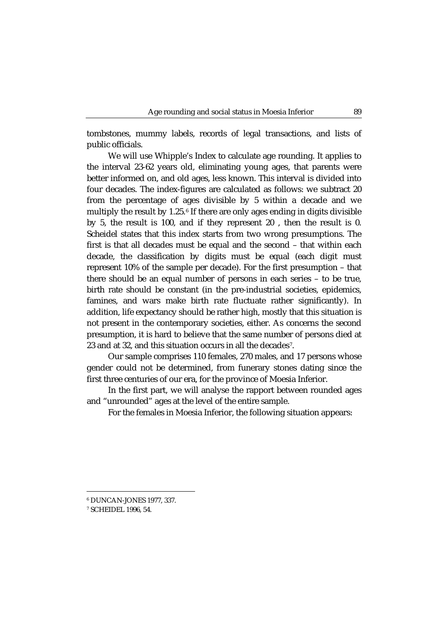tombstones, mummy labels, records of legal transactions, and lists of public officials.

We will use Whipple's Index to calculate age rounding. It applies to the interval 23-62 years old, eliminating young ages, that parents were better informed on, and old ages, less known. This interval is divided into four decades. The index-figures are calculated as follows: we subtract 20 from the percentage of ages divisible by 5 within a decade and we multiply the result by 1.25.<sup>6</sup> If there are only ages ending in digits divisible by 5, the result is 100, and if they represent 20 , then the result is 0. Scheidel states that this index starts from two wrong presumptions. The first is that all decades must be equal and the second – that within each decade, the classification by digits must be equal (each digit must represent 10% of the sample per decade). For the first presumption – that there should be an equal number of persons in each series – to be true, birth rate should be constant (in the pre-industrial societies, epidemics, famines, and wars make birth rate fluctuate rather significantly). In addition, life expectancy should be rather high, mostly that this situation is not present in the contemporary societies, either. As concerns the second presumption, it is hard to believe that the same number of persons died at 23 and at 32, and this situation occurs in all the decades7.

Our sample comprises 110 females, 270 males, and 17 persons whose gender could not be determined, from funerary stones dating since the first three centuries of our era, for the province of Moesia Inferior.

In the first part, we will analyse the rapport between rounded ages and "unrounded" ages at the level of the entire sample.

For the females in Moesia Inferior, the following situation appears:

 $\overline{\phantom{a}}$ 

<sup>6</sup> DUNCAN-JONES 1977, 337.

<sup>7</sup> SCHEIDEL 1996, 54.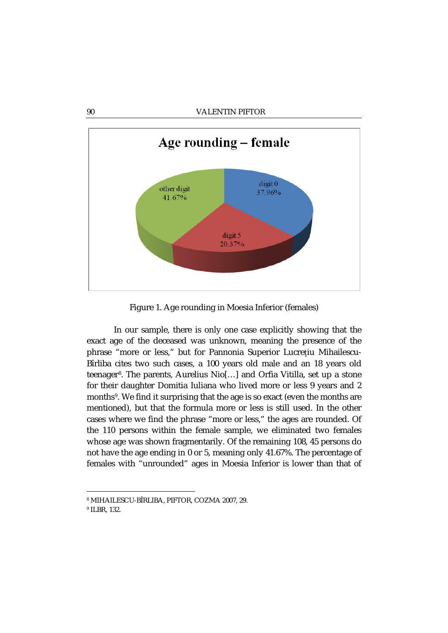

Figure 1. Age rounding in Moesia Inferior (females)

In our sample, there is only one case explicitly showing that the exact age of the deceased was unknown, meaning the presence of the phrase "more or less," but for Pannonia Superior Lucreţiu Mihailescu-Bîrliba cites two such cases, a 100 years old male and an 18 years old teenager8. The parents, Aurelius Nio[…] and Orfia Vitilla, set up a stone for their daughter Domitia Iuliana who lived more or less 9 years and 2 months9. We find it surprising that the age is so exact (even the months are mentioned), but that the formula more or less is still used. In the other cases where we find the phrase "more or less," the ages are rounded. Of the 110 persons within the female sample, we eliminated two females whose age was shown fragmentarily. Of the remaining 108, 45 persons do not have the age ending in 0 or 5, meaning only 41.67%. The percentage of females with "unrounded" ages in Moesia Inferior is lower than that of

 $\overline{\phantom{a}}$ 

<sup>8</sup> MIHAILESCU-BÎRLIBA, PIFTOR, COZMA 2007, 29.

<sup>9</sup> ILBR, 132.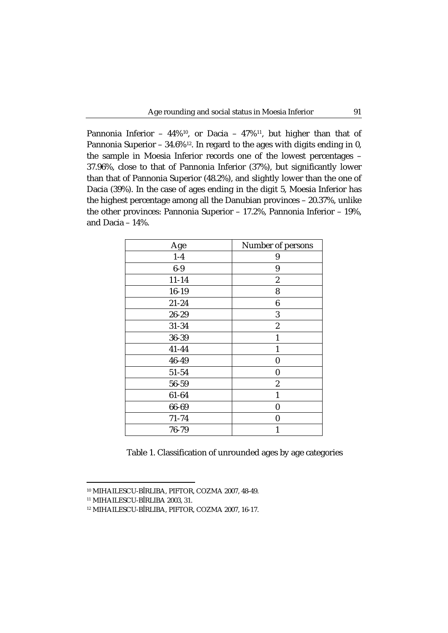Pannonia Inferior -  $44\%^{10}$ , or Dacia -  $47\%^{11}$ , but higher than that of Pannonia Superior –  $34.6\%$ <sup>12</sup>. In regard to the ages with digits ending in 0, the sample in Moesia Inferior records one of the lowest percentages – 37.96%, close to that of Pannonia Inferior (37%), but significantly lower than that of Pannonia Superior (48.2%), and slightly lower than the one of Dacia (39%). In the case of ages ending in the digit 5, Moesia Inferior has the highest percentage among all the Danubian provinces – 20.37%, unlike the other provinces: Pannonia Superior – 17.2%, Pannonia Inferior – 19%, and Dacia – 14%.

| Age       | Number of persons |
|-----------|-------------------|
| $1-4$     | 9                 |
| $6-9$     | 9                 |
| $11 - 14$ | $\boldsymbol{2}$  |
| $16 - 19$ | 8                 |
| $21 - 24$ | 6                 |
| 26-29     | 3                 |
| 31-34     | $\boldsymbol{2}$  |
| 36-39     | 1                 |
| $41 - 44$ | $\mathbf{1}$      |
| 46-49     | $\bf{0}$          |
| 51-54     | 0                 |
| 56-59     | $\boldsymbol{2}$  |
| 61-64     | 1                 |
| 66-69     | $\bf{0}$          |
| $71 - 74$ | 0                 |
| 76-79     | 1                 |

Table 1. Classification of unrounded ages by age categories

<sup>10</sup> MIHAILESCU-BÎRLIBA, PIFTOR, COZMA 2007, 48-49.

<sup>11</sup> MIHAILESCU-BÎRLIBA 2003, 31.

<sup>12</sup> MIHAILESCU-BÎRLIBA, PIFTOR, COZMA 2007, 16-17.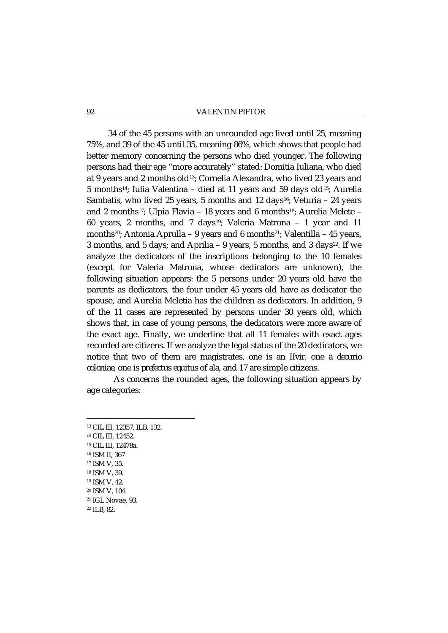#### 92 VALENTIN PIFTOR

34 of the 45 persons with an unrounded age lived until 25, meaning 75%, and 39 of the 45 until 35, meaning 86%, which shows that people had better memory concerning the persons who died younger. The following persons had their age "more accurately" stated: Domitia Iuliana, who died at 9 years and 2 months old13; Cornelia Alexandra, who lived 23 years and 5 months14; Iulia Valentina – died at 11 years and 59 days old15; Aurelia Sambatis, who lived 25 years, 5 months and 12 days<sup>16</sup>; Veturia  $-$  24 years and 2 months17; Ulpia Flavia – 18 years and 6 months18; Aurelia Melete – 60 years, 2 months, and 7 days19; Valeria Matrona – 1 year and 11 months<sup>20</sup>; Antonia Aprulla – 9 years and 6 months<sup>21</sup>; Valentilla – 45 years, 3 months, and 5 days; and Aprilia – 9 years, 5 months, and 3 days<sup>22</sup>. If we analyze the dedicators of the inscriptions belonging to the 10 females (except for Valeria Matrona, whose dedicators are unknown), the following situation appears: the 5 persons under 20 years old have the parents as dedicators, the four under 45 years old have as dedicator the spouse, and Aurelia Meletia has the children as dedicators. In addition, 9 of the 11 cases are represented by persons under 30 years old, which shows that, in case of young persons, the dedicators were more aware of the exact age. Finally, we underline that all 11 females with exact ages recorded are citizens. If we analyze the legal status of the 20 dedicators, we notice that two of them are magistrates, one is an *IIvir,* one a *decurio coloniae*, one is *prefectus equitus* of *ala*, and 17 are simple citizens.

As concerns the rounded ages, the following situation appears by age categories:

<u>.</u>

<sup>13</sup> CIL III, 12357, ILB, 132. <sup>14</sup> CIL III, 12452. <sup>15</sup> CIL III, 12478a. <sup>16</sup> ISM II, 367 <sup>17</sup> ISM V, 35. <sup>18</sup> ISM V, 39. <sup>19</sup> ISM V, 42. <sup>20</sup> ISM V, 104. <sup>21</sup> IGL Novae, 93. <sup>22</sup> ILB, 82.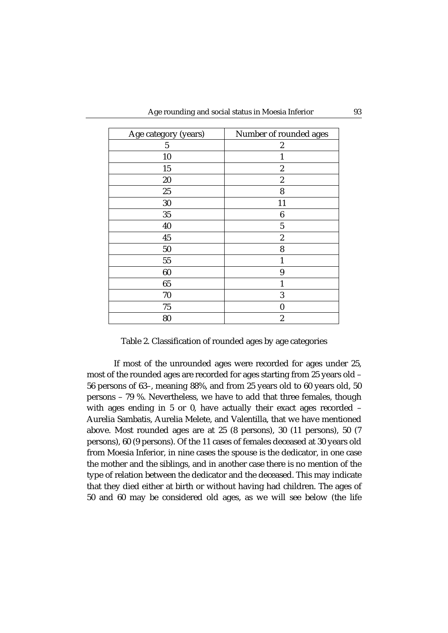| Age category (years) | Number of rounded ages |
|----------------------|------------------------|
| 5                    | $\boldsymbol{2}$       |
| 10                   | 1                      |
| 15                   | $\overline{c}$         |
| 20                   | $\boldsymbol{2}$       |
| 25                   | 8                      |
| 30                   | 11                     |
| 35                   | $\boldsymbol{6}$       |
| 40                   | $\overline{5}$         |
| 45                   | $\boldsymbol{2}$       |
| 50                   | 8                      |
| 55                   | 1                      |
| 60                   | 9                      |
| 65                   | 1                      |
| 70                   | 3                      |
| 75                   | 0                      |
| 80                   | $\overline{c}$         |

Table 2. Classification of rounded ages by age categories

If most of the unrounded ages were recorded for ages under 25, most of the rounded ages are recorded for ages starting from 25 years old – 56 persons of 63–, meaning 88%, and from 25 years old to 60 years old, 50 persons – 79 %. Nevertheless, we have to add that three females, though with ages ending in 5 or 0, have actually their exact ages recorded – Aurelia Sambatis, Aurelia Melete, and Valentilla, that we have mentioned above. Most rounded ages are at 25 (8 persons), 30 (11 persons), 50 (7 persons), 60 (9 persons). Of the 11 cases of females deceased at 30 years old from Moesia Inferior, in nine cases the spouse is the dedicator, in one case the mother and the siblings, and in another case there is no mention of the type of relation between the dedicator and the deceased. This may indicate that they died either at birth or without having had children. The ages of 50 and 60 may be considered old ages, as we will see below (the life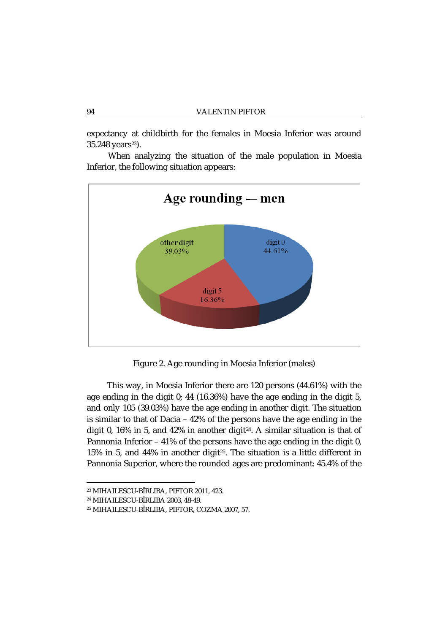expectancy at childbirth for the females in Moesia Inferior was around 35.248 years<sup>23</sup>).

When analyzing the situation of the male population in Moesia Inferior, the following situation appears:



Figure 2. Age rounding in Moesia Inferior (males)

This way, in Moesia Inferior there are 120 persons (44.61%) with the age ending in the digit 0; 44 (16.36%) have the age ending in the digit 5, and only 105 (39.03%) have the age ending in another digit. The situation is similar to that of Dacia – 42% of the persons have the age ending in the digit 0, 16% in 5, and 42% in another digit<sup>24</sup>. A similar situation is that of Pannonia Inferior – 41% of the persons have the age ending in the digit 0, 15% in 5, and 44% in another digit<sup>25</sup>. The situation is a little different in Pannonia Superior, where the rounded ages are predominant: 45.4% of the

<sup>23</sup> MIHAILESCU-BÎRLIBA, PIFTOR 2011, 423.

<sup>24</sup> MIHAILESCU-BÎRLIBA 2003, 48-49.

<sup>25</sup> MIHAILESCU-BÎRLIBA, PIFTOR, COZMA 2007, 57.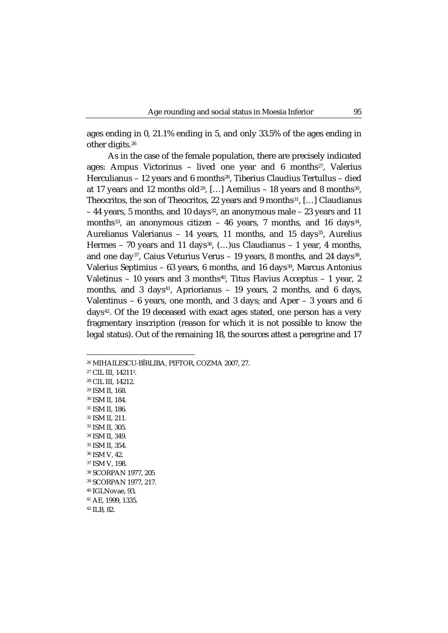ages ending in 0, 21.1% ending in 5, and only 33.5% of the ages ending in other digits.26

As in the case of the female population, there are precisely indicated ages: Ampus Victorinus - lived one year and  $6$  months<sup>27</sup>, Valerius Herculianus - 12 years and 6 months<sup>28</sup>, Tiberius Claudius Tertullus - died at 17 years and 12 months old<sup>29</sup>, [...] Aemilius – 18 years and 8 months<sup>30</sup>, Theocritos, the son of Theocritos, 22 years and 9 months<sup>31</sup>, [...] Claudianus – 44 years, 5 months, and 10 days32, an anonymous male – 23 years and 11 months<sup>33</sup>, an anonymous citizen - 46 years, 7 months, and 16 days<sup>34</sup>, Aurelianus Valerianus - 14 years, 11 months, and 15 days<sup>35</sup>, Aurelius Hermes – 70 years and 11 days<sup>36</sup>,  $(...)$ us Claudianus – 1 year, 4 months, and one day<sup>37</sup>, Caius Veturius Verus - 19 years, 8 months, and 24 days<sup>38</sup>, Valerius Septimius – 63 years, 6 months, and 16 days<sup>39</sup>, Marcus Antonius Valetinus - 10 years and 3 months<sup>40</sup>, Titus Flavius Acceptus - 1 year, 2 months, and 3 days<sup>41</sup>, Apriorianus - 19 years, 2 months, and 6 days, Valentinus – 6 years, one month, and 3 days; and Aper – 3 years and 6 days<sup>42</sup>. Of the 19 deceased with exact ages stated, one person has a very fragmentary inscription (reason for which it is not possible to know the legal status). Out of the remaining 18, the sources attest a peregrine and 17

 CIL III, 142113. CIL III, 14212. ISM II, 168. ISM II, 184. ISM II, 186. ISM II, 211. ISM II, 305. ISM II, 349. ISM II, 354. ISM V, 42. ISM V, 198. SCORPAN 1977, 205 SCORPAN 1977, 217. IGLNovae, 93. AE, 1999, 1335.

<sup>42</sup> ILB, 82.

 $\overline{\phantom{a}}$ 

<sup>26</sup> MIHAILESCU-BÎRLIBA, PIFTOR, COZMA 2007, 27.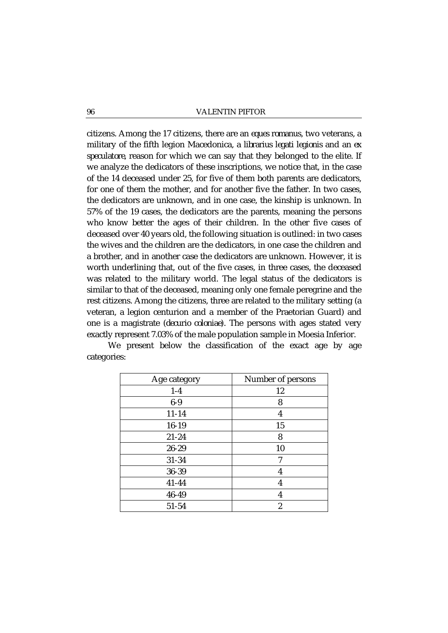### 96 VALENTIN PIFTOR

citizens. Among the 17 citizens, there are an *eques romanus*, two veterans, a military of the fifth legion Macedonica, a *librarius legati legionis* and an *ex speculatore*, reason for which we can say that they belonged to the elite. If we analyze the dedicators of these inscriptions, we notice that, in the case of the 14 deceased under 25, for five of them both parents are dedicators, for one of them the mother, and for another five the father. In two cases, the dedicators are unknown, and in one case, the kinship is unknown. In 57% of the 19 cases, the dedicators are the parents, meaning the persons who know better the ages of their children. In the other five cases of deceased over 40 years old, the following situation is outlined: in two cases the wives and the children are the dedicators, in one case the children and a brother, and in another case the dedicators are unknown. However, it is worth underlining that, out of the five cases, in three cases, the deceased was related to the military world. The legal status of the dedicators is similar to that of the deceased, meaning only one female peregrine and the rest citizens. Among the citizens, three are related to the military setting (a veteran, a legion centurion and a member of the Praetorian Guard) and one is a magistrate (*decurio coloniae*). The persons with ages stated very exactly represent 7.03% of the male population sample in Moesia Inferior.

| Age category | Number of persons |
|--------------|-------------------|
| $1-4$        | 12                |
| $6-9$        | 8                 |
| $11 - 14$    | 4                 |
| 16-19        | 15                |
| $21 - 24$    | 8                 |
| 26-29        | 10                |
| 31-34        | 7                 |
| 36-39        | 4                 |
| 41-44        | 4                 |
| 46-49        | 4                 |
| 51-54        | $\overline{2}$    |

We present below the classification of the exact age by age categories: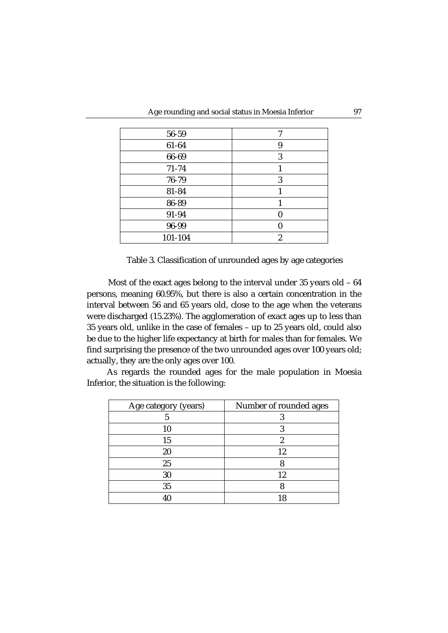| 56-59     | 7 |
|-----------|---|
| 61-64     | 9 |
| 66-69     | 3 |
| $71 - 74$ |   |
| 76-79     | 3 |
| 81-84     |   |
| 86-89     |   |
| 91-94     |   |
| 96-99     |   |
| 101-104   | 2 |

Table 3. Classification of unrounded ages by age categories

Most of the exact ages belong to the interval under 35 years old – 64 persons, meaning 60.95%, but there is also a certain concentration in the interval between 56 and 65 years old, close to the age when the veterans were discharged (15.23%). The agglomeration of exact ages up to less than 35 years old, unlike in the case of females – up to 25 years old, could also be due to the higher life expectancy at birth for males than for females. We find surprising the presence of the two unrounded ages over 100 years old; actually, they are the only ages over 100.

As regards the rounded ages for the male population in Moesia Inferior, the situation is the following:

| Age category (years) | Number of rounded ages |
|----------------------|------------------------|
|                      |                        |
| 10                   |                        |
| 15                   | 2                      |
| 20                   | 12                     |
| 25                   |                        |
| 30                   | 12                     |
| 35                   |                        |
|                      |                        |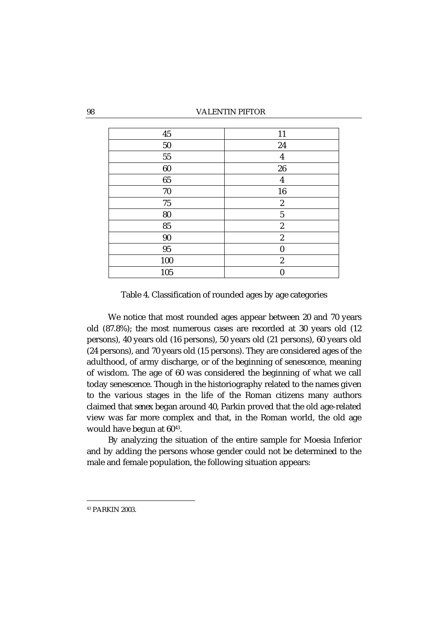| $\bf 45$   | 11               |
|------------|------------------|
| $50\,$     | 24               |
| ${\bf 55}$ | $\boldsymbol{4}$ |
| 60         | ${\bf 26}$       |
| 65         | $\boldsymbol{4}$ |
| $70\,$     | 16               |
| $75\,$     | $\boldsymbol{2}$ |
| 80         | $\overline{5}$   |
| 85         | $\boldsymbol{2}$ |
| $90\,$     | $\boldsymbol{2}$ |
| 95         | $\boldsymbol{0}$ |
| 100        | $\boldsymbol{2}$ |
| 105        | $\overline{0}$   |

Table 4. Classification of rounded ages by age categories

We notice that most rounded ages appear between 20 and 70 years old (87.8%); the most numerous cases are recorded at 30 years old (12 persons), 40 years old (16 persons), 50 years old (21 persons), 60 years old (24 persons), and 70 years old (15 persons). They are considered ages of the adulthood, of army discharge, or of the beginning of senescence, meaning of wisdom. The age of 60 was considered the beginning of what we call today senescence. Though in the historiography related to the names given to the various stages in the life of the Roman citizens many authors claimed that *senex* began around 40, Parkin proved that the old age-related view was far more complex and that, in the Roman world, the old age would have begun at  $60^{43}$ .

By analyzing the situation of the entire sample for Moesia Inferior and by adding the persons whose gender could not be determined to the male and female population, the following situation appears:

<sup>43</sup> PARKIN 2003.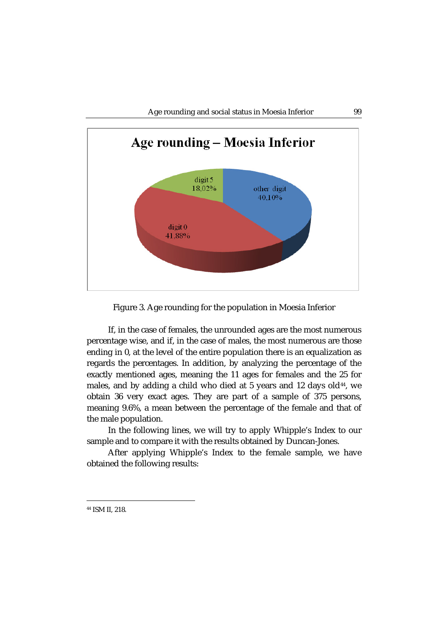

Figure 3. Age rounding for the population in Moesia Inferior

If, in the case of females, the unrounded ages are the most numerous percentage wise, and if, in the case of males, the most numerous are those ending in 0, at the level of the entire population there is an equalization as regards the percentages. In addition, by analyzing the percentage of the exactly mentioned ages, meaning the 11 ages for females and the 25 for males, and by adding a child who died at 5 years and 12 days old $44$ , we obtain 36 very exact ages. They are part of a sample of 375 persons, meaning 9.6%, a mean between the percentage of the female and that of the male population.

In the following lines, we will try to apply Whipple's Index to our sample and to compare it with the results obtained by Duncan-Jones.

After applying Whipple's Index to the female sample, we have obtained the following results:

<sup>44</sup> ISM II, 218.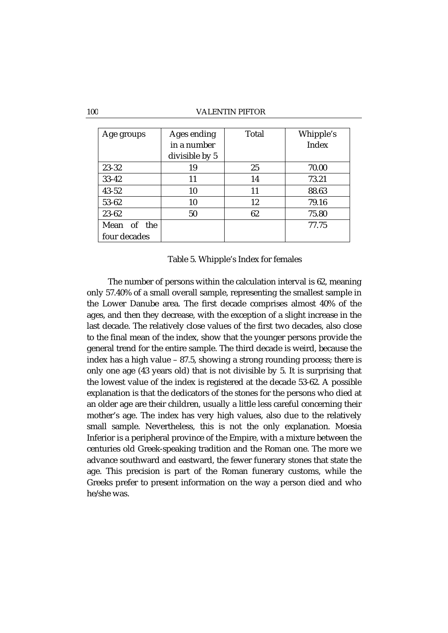| Age groups   | Ages ending    | Total | Whipple's |
|--------------|----------------|-------|-----------|
|              | in a number    |       | Index     |
|              | divisible by 5 |       |           |
| 23-32        | 19             | 25    | 70.00     |
| $33 - 42$    | 11             | 14    | 73.21     |
| $43 - 52$    | 10             | 11    | 88.63     |
| 53-62        | 10             | 12    | 79.16     |
| 23-62        | 50             | 62    | 75.80     |
| Mean of the  |                |       | 77.75     |
| four decades |                |       |           |

## Table 5. Whipple's Index for females

The number of persons within the calculation interval is 62, meaning only 57.40% of a small overall sample, representing the smallest sample in the Lower Danube area. The first decade comprises almost 40% of the ages, and then they decrease, with the exception of a slight increase in the last decade. The relatively close values of the first two decades, also close to the final mean of the index, show that the younger persons provide the general trend for the entire sample. The third decade is weird, because the index has a high value – 87.5, showing a strong rounding process; there is only one age (43 years old) that is not divisible by 5. It is surprising that the lowest value of the index is registered at the decade 53-62. A possible explanation is that the dedicators of the stones for the persons who died at an older age are their children, usually a little less careful concerning their mother's age. The index has very high values, also due to the relatively small sample. Nevertheless, this is not the only explanation. Moesia Inferior is a peripheral province of the Empire, with a mixture between the centuries old Greek-speaking tradition and the Roman one. The more we advance southward and eastward, the fewer funerary stones that state the age. This precision is part of the Roman funerary customs, while the Greeks prefer to present information on the way a person died and who he/she was.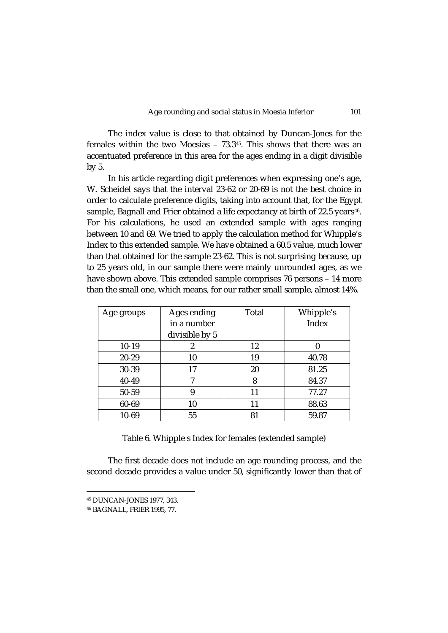The index value is close to that obtained by Duncan-Jones for the females within the two Moesias – 73.345. This shows that there was an accentuated preference in this area for the ages ending in a digit divisible by 5.

In his article regarding digit preferences when expressing one's age, W. Scheidel says that the interval 23-62 or 20-69 is not the best choice in order to calculate preference digits, taking into account that, for the Egypt sample, Bagnall and Frier obtained a life expectancy at birth of  $22.5$  years<sup>46</sup>. For his calculations, he used an extended sample with ages ranging between 10 and 69. We tried to apply the calculation method for Whipple's Index to this extended sample. We have obtained a 60.5 value, much lower than that obtained for the sample 23-62. This is not surprising because, up to 25 years old, in our sample there were mainly unrounded ages, as we have shown above. This extended sample comprises 76 persons - 14 more than the small one, which means, for our rather small sample, almost 14%.

| Age groups | Ages ending    | Total | Whipple's |
|------------|----------------|-------|-----------|
|            | in a number    |       | Index     |
|            | divisible by 5 |       |           |
| $10-19$    | 2              | 12    |           |
| 20-29      | 10             | 19    | 40.78     |
| 30-39      | 17             | 20    | 81.25     |
| 40-49      | 7              | 8     | 84.37     |
| 50-59      | 9              | 11    | 77.27     |
| 60-69      | 10             | 11    | 88.63     |
| $10 - 69$  | 55             | 81    | 59.87     |

Table 6. Whipple s Index for females (extended sample)

The first decade does not include an age rounding process, and the second decade provides a value under 50, significantly lower than that of

 $\overline{\phantom{a}}$ 

<sup>45</sup> DUNCAN-JONES 1977, 343.

<sup>46</sup> BAGNALL, FRIER 1995, 77.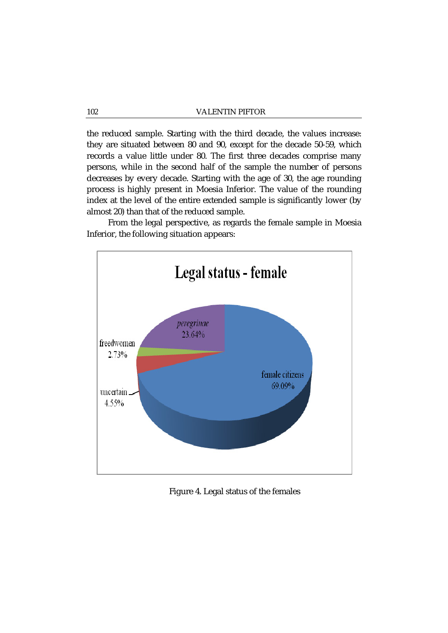the reduced sample. Starting with the third decade, the values increase: they are situated between 80 and 90, except for the decade 50-59, which records a value little under 80. The first three decades comprise many persons, while in the second half of the sample the number of persons decreases by every decade. Starting with the age of 30, the age rounding process is highly present in Moesia Inferior. The value of the rounding index at the level of the entire extended sample is significantly lower (by almost 20) than that of the reduced sample.

From the legal perspective, as regards the female sample in Moesia Inferior, the following situation appears:



Figure 4. Legal status of the females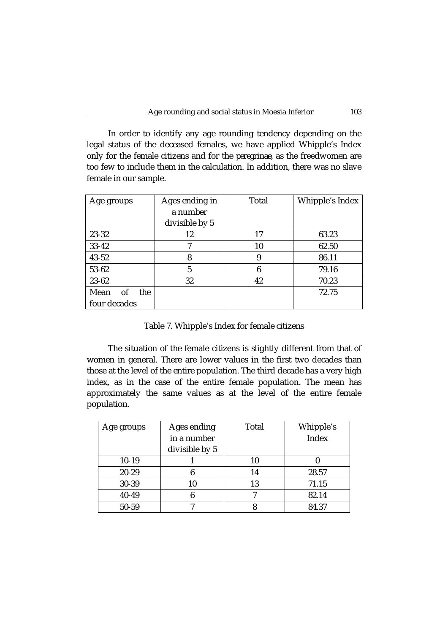In order to identify any age rounding tendency depending on the legal status of the deceased females, we have applied Whipple's Index only for the female citizens and for the *peregrinae*, as the freedwomen are too few to include them in the calculation. In addition, there was no slave female in our sample.

| Age groups        | Ages ending in | Total | Whipple's Index |
|-------------------|----------------|-------|-----------------|
|                   | a number       |       |                 |
|                   | divisible by 5 |       |                 |
| 23-32             | 12             | 17    | 63.23           |
| $33 - 42$         | 7              | 10    | 62.50           |
| $43 - 52$         | 8              | 9     | 86.11           |
| 53-62             | 5              | 6     | 79.16           |
| 23-62             | 32             | 42    | 70.23           |
| Mean<br>of<br>the |                |       | 72.75           |
| four decades      |                |       |                 |

Table 7. Whipple's Index for female citizens

The situation of the female citizens is slightly different from that of women in general. There are lower values in the first two decades than those at the level of the entire population. The third decade has a very high index, as in the case of the entire female population. The mean has approximately the same values as at the level of the entire female population.

| Age groups | Ages ending    | Total | Whipple's |
|------------|----------------|-------|-----------|
|            | in a number    |       | Index     |
|            | divisible by 5 |       |           |
| $10-19$    |                | 10    |           |
| $20 - 29$  |                | 14    | 28.57     |
| 30-39      | 10             | 13    | 71.15     |
| 40-49      |                |       | 82.14     |
| 50-59      |                |       | 84.37     |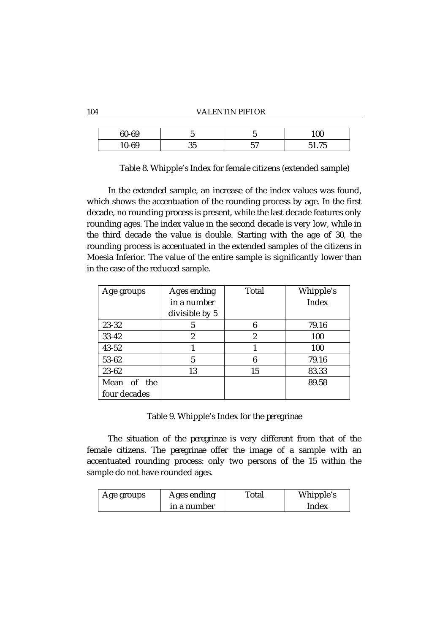### 104 VALENTIN PIFTOR

| $60 - 69$ |           | -<br>u      | 100             |
|-----------|-----------|-------------|-----------------|
| 10-69     | n r<br>ບບ | ہم س<br>ບ ເ | 77 F<br>∽<br>്പ |

Table 8. Whipple's Index for female citizens (extended sample)

In the extended sample, an increase of the index values was found, which shows the accentuation of the rounding process by age. In the first decade, no rounding process is present, while the last decade features only rounding ages. The index value in the second decade is very low, while in the third decade the value is double. Starting with the age of 30, the rounding process is accentuated in the extended samples of the citizens in Moesia Inferior. The value of the entire sample is significantly lower than in the case of the reduced sample.

| Age groups   | Ages ending    | Total | Whipple's |
|--------------|----------------|-------|-----------|
|              | in a number    |       | Index     |
|              | divisible by 5 |       |           |
| 23-32        | 5              | 6     | 79.16     |
| $33 - 42$    | 2              | 2     | 100       |
| $43 - 52$    |                |       | 100       |
| 53-62        | 5              | 6     | 79.16     |
| 23-62        | 13             | 15    | 83.33     |
| Mean of the  |                |       | 89.58     |
| four decades |                |       |           |

Table 9. Whipple's Index for the *peregrinae*

The situation of the *peregrinae* is very different from that of the female citizens. The *peregrinae* offer the image of a sample with an accentuated rounding process: only two persons of the 15 within the sample do not have rounded ages.

| Age groups | Ages ending | Total | Whipple's |
|------------|-------------|-------|-----------|
|            | in a number |       | Index     |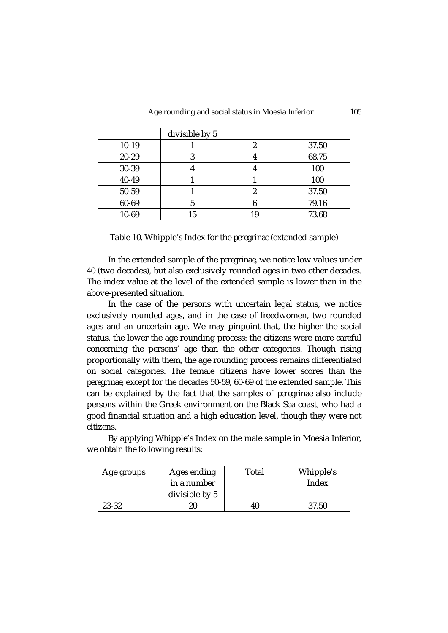|           | divisible by 5 |    |       |
|-----------|----------------|----|-------|
| $10-19$   |                | 2  | 37.50 |
| $20 - 29$ | G.             |    | 68.75 |
| 30-39     |                |    | 100   |
| 40-49     |                |    | 100   |
| 50-59     |                | 2  | 37.50 |
| 60-69     |                |    | 79.16 |
| 10-69     | 15             | 19 | 73.68 |

Table 10. Whipple's Index for the *peregrinae* (extended sample)

In the extended sample of the *peregrinae*, we notice low values under 40 (two decades), but also exclusively rounded ages in two other decades. The index value at the level of the extended sample is lower than in the above-presented situation.

In the case of the persons with uncertain legal status, we notice exclusively rounded ages, and in the case of freedwomen, two rounded ages and an uncertain age. We may pinpoint that, the higher the social status, the lower the age rounding process: the citizens were more careful concerning the persons' age than the other categories. Though rising proportionally with them, the age rounding process remains differentiated on social categories. The female citizens have lower scores than the *peregrinae*, except for the decades 50-59, 60-69 of the extended sample. This can be explained by the fact that the samples of *peregrinae* also include persons within the Greek environment on the Black Sea coast, who had a good financial situation and a high education level, though they were not citizens.

By applying Whipple's Index on the male sample in Moesia Inferior, we obtain the following results:

| Age groups | Ages ending    | Total | Whipple's |
|------------|----------------|-------|-----------|
|            | in a number    |       | Index     |
|            | divisible by 5 |       |           |
| 23-32      | 20             | 40    | 37.50     |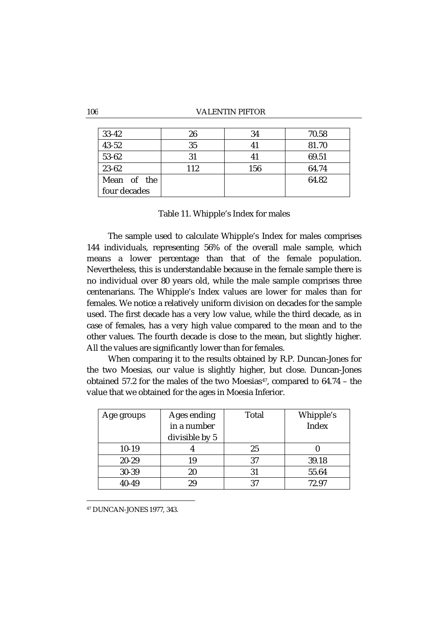### 106 VALENTIN PIFTOR

| $33 - 42$    | 26  | 34  | 70.58 |
|--------------|-----|-----|-------|
| $43 - 52$    | 35  | 41  | 81.70 |
| 53-62        | 31  | 41  | 69.51 |
| 23-62        | 112 | 156 | 64.74 |
| Mean of the  |     |     | 64.82 |
| four decades |     |     |       |

Table 11. Whipple's Index for males

The sample used to calculate Whipple's Index for males comprises 144 individuals, representing 56% of the overall male sample, which means a lower percentage than that of the female population. Nevertheless, this is understandable because in the female sample there is no individual over 80 years old, while the male sample comprises three centenarians. The Whipple's Index values are lower for males than for females. We notice a relatively uniform division on decades for the sample used. The first decade has a very low value, while the third decade, as in case of females, has a very high value compared to the mean and to the other values. The fourth decade is close to the mean, but slightly higher. All the values are significantly lower than for females.

When comparing it to the results obtained by R.P. Duncan-Jones for the two Moesias, our value is slightly higher, but close. Duncan-Jones obtained 57.2 for the males of the two Moesias<sup>47</sup>, compared to  $64.74$  - the value that we obtained for the ages in Moesia Inferior.

| Age groups | Ages ending    | Total | Whipple's |
|------------|----------------|-------|-----------|
|            | in a number    |       | Index     |
|            | divisible by 5 |       |           |
| $10-19$    | 4              | 25    |           |
| 20-29      | 19             | 37    | 39.18     |
| 30-39      | 20             | 31    | 55.64     |
| 40-49      | 29             | 37    | 72.97     |

<sup>47</sup> DUNCAN-JONES 1977, 343.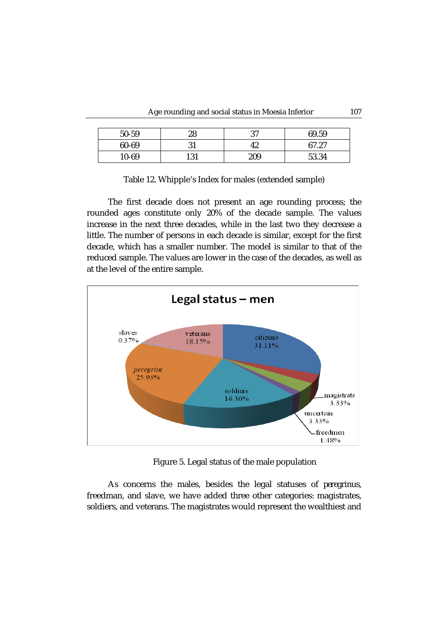| 50-59 | 28        | 37  | 69.59 |
|-------|-----------|-----|-------|
| 60-69 | Չ 1<br>JІ | 42  | 67.27 |
| 10-69 | 131       | 209 | 53.34 |

| Table 12. Whipple's Index for males (extended sample) |  |  |
|-------------------------------------------------------|--|--|
|-------------------------------------------------------|--|--|

The first decade does not present an age rounding process; the rounded ages constitute only 20% of the decade sample. The values increase in the next three decades, while in the last two they decrease a little. The number of persons in each decade is similar, except for the first decade, which has a smaller number. The model is similar to that of the reduced sample. The values are lower in the case of the decades, as well as at the level of the entire sample.



Figure 5. Legal status of the male population

As concerns the males, besides the legal statuses of *peregrinus*, freedman, and slave, we have added three other categories: magistrates, soldiers, and veterans. The magistrates would represent the wealthiest and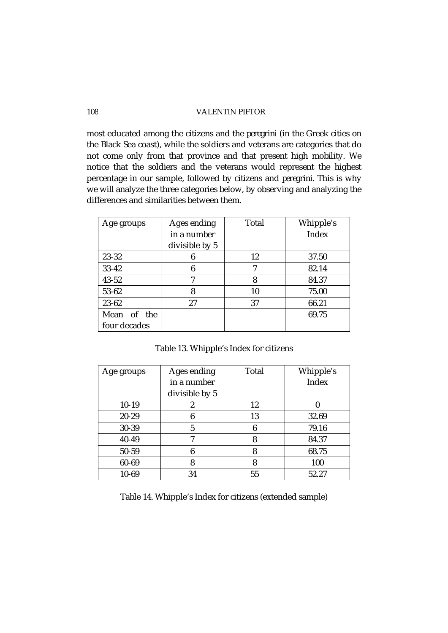most educated among the citizens and the *peregrini* (in the Greek cities on the Black Sea coast), while the soldiers and veterans are categories that do not come only from that province and that present high mobility. We notice that the soldiers and the veterans would represent the highest percentage in our sample, followed by citizens and *peregrini*. This is why we will analyze the three categories below, by observing and analyzing the differences and similarities between them.

| Age groups   | Ages ending    | Total | Whipple's |
|--------------|----------------|-------|-----------|
|              | in a number    |       | Index     |
|              | divisible by 5 |       |           |
| $23 - 32$    | 6              | 12    | 37.50     |
| $33 - 42$    | 6              | 7     | 82.14     |
| $43 - 52$    | 7              | 8     | 84.37     |
| 53-62        | 8              | 10    | 75.00     |
| $23 - 62$    | 27             | 37    | 66.21     |
| Mean of the  |                |       | 69.75     |
| four decades |                |       |           |

Table 13. Whipple's Index for citizens

| Age groups | Ages ending    | Total | Whipple's |
|------------|----------------|-------|-----------|
|            | in a number    |       | Index     |
|            | divisible by 5 |       |           |
| $10-19$    | 2              | 12    |           |
| 20-29      | 6              | 13    | 32.69     |
| 30-39      | 5              | 6     | 79.16     |
| 40-49      |                | 8     | 84.37     |
| 50-59      | 6              | 8     | 68.75     |
| 60-69      | 8              | 8     | 100       |
| $10 - 69$  | 34             | 55    | 52.27     |

Table 14. Whipple's Index for citizens (extended sample)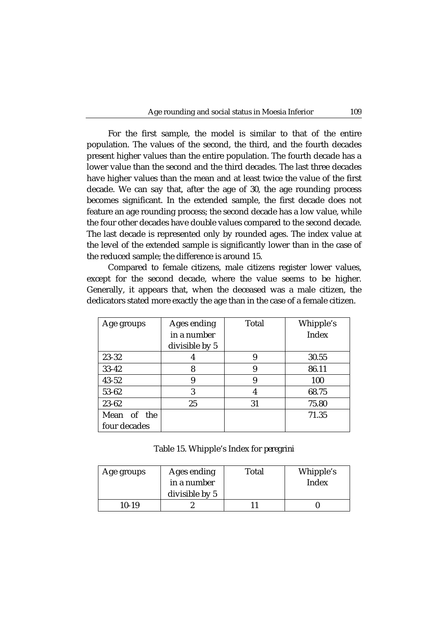For the first sample, the model is similar to that of the entire population. The values of the second, the third, and the fourth decades present higher values than the entire population. The fourth decade has a lower value than the second and the third decades. The last three decades have higher values than the mean and at least twice the value of the first decade. We can say that, after the age of 30, the age rounding process becomes significant. In the extended sample, the first decade does not feature an age rounding process; the second decade has a low value, while the four other decades have double values compared to the second decade. The last decade is represented only by rounded ages. The index value at the level of the extended sample is significantly lower than in the case of the reduced sample; the difference is around 15.

Compared to female citizens, male citizens register lower values, except for the second decade, where the value seems to be higher. Generally, it appears that, when the deceased was a male citizen, the dedicators stated more exactly the age than in the case of a female citizen.

| Age groups   | Ages ending    | Total | Whipple's    |
|--------------|----------------|-------|--------------|
|              | in a number    |       | <b>Index</b> |
|              | divisible by 5 |       |              |
| 23-32        |                | 9     | 30.55        |
| $33 - 42$    | 8              | 9     | 86.11        |
| $43 - 52$    | 9              | 9     | 100          |
| 53-62        | 3              | 4     | 68.75        |
| 23-62        | 25             | 31    | 75.80        |
| Mean of the  |                |       | 71.35        |
| four decades |                |       |              |

Table 15. Whipple's Index for *peregrini*

| Age groups | Ages ending<br>in a number<br>divisible by 5 | Total | Whipple's<br>Index |
|------------|----------------------------------------------|-------|--------------------|
| $10-19$    |                                              |       |                    |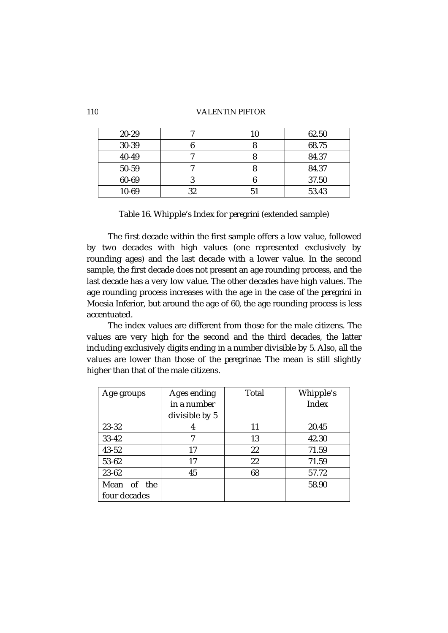### 110 VALENTIN PIFTOR

| $20 - 29$ |    | 62.50 |
|-----------|----|-------|
| 30-39     |    | 68.75 |
| 40-49     |    | 84.37 |
| 50-59     |    | 84.37 |
| 60-69     |    | 37.50 |
| 10-69     | 32 | 53.43 |

Table 16. Whipple's Index for *peregrini* (extended sample)

The first decade within the first sample offers a low value, followed by two decades with high values (one represented exclusively by rounding ages) and the last decade with a lower value. In the second sample, the first decade does not present an age rounding process, and the last decade has a very low value. The other decades have high values. The age rounding process increases with the age in the case of the *peregrini* in Moesia Inferior, but around the age of 60, the age rounding process is less accentuated.

The index values are different from those for the male citizens. The values are very high for the second and the third decades, the latter including exclusively digits ending in a number divisible by 5. Also, all the values are lower than those of the *peregrinae*. The mean is still slightly higher than that of the male citizens.

| Age groups   | Ages ending    | Total | Whipple's |
|--------------|----------------|-------|-----------|
|              | in a number    |       | Index     |
|              | divisible by 5 |       |           |
| 23-32        | 4              | 11    | 20.45     |
| $33 - 42$    | 7              | 13    | 42.30     |
| $43 - 52$    | 17             | 22    | 71.59     |
| 53-62        | 17             | 22    | 71.59     |
| 23-62        | 45             | 68    | 57.72     |
| Mean of the  |                |       | 58.90     |
| four decades |                |       |           |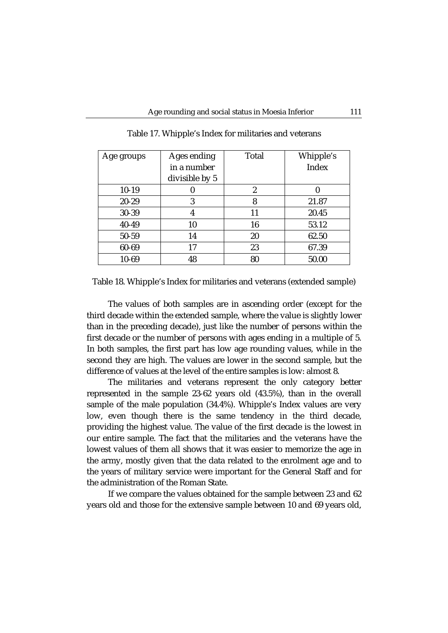| Age groups | Ages ending    | Total | Whipple's |
|------------|----------------|-------|-----------|
|            | in a number    |       | Index     |
|            | divisible by 5 |       |           |
| $10-19$    |                | 2     |           |
| $20 - 29$  | 3              | 8     | 21.87     |
| 30-39      | 4              | 11    | 20.45     |
| 40-49      | 10             | 16    | 53.12     |
| 50-59      | 14             | 20    | 62.50     |
| 60-69      | 17             | 23    | 67.39     |
| 10-69      | 48             | 80    | 50.00     |

Table 17. Whipple's Index for militaries and veterans

Table 18. Whipple's Index for militaries and veterans (extended sample)

The values of both samples are in ascending order (except for the third decade within the extended sample, where the value is slightly lower than in the preceding decade), just like the number of persons within the first decade or the number of persons with ages ending in a multiple of 5. In both samples, the first part has low age rounding values, while in the second they are high. The values are lower in the second sample, but the difference of values at the level of the entire samples is low: almost 8.

The militaries and veterans represent the only category better represented in the sample 23-62 years old (43.5%), than in the overall sample of the male population (34.4%). Whipple's Index values are very low, even though there is the same tendency in the third decade, providing the highest value. The value of the first decade is the lowest in our entire sample. The fact that the militaries and the veterans have the lowest values of them all shows that it was easier to memorize the age in the army, mostly given that the data related to the enrolment age and to the years of military service were important for the General Staff and for the administration of the Roman State.

If we compare the values obtained for the sample between 23 and 62 years old and those for the extensive sample between 10 and 69 years old,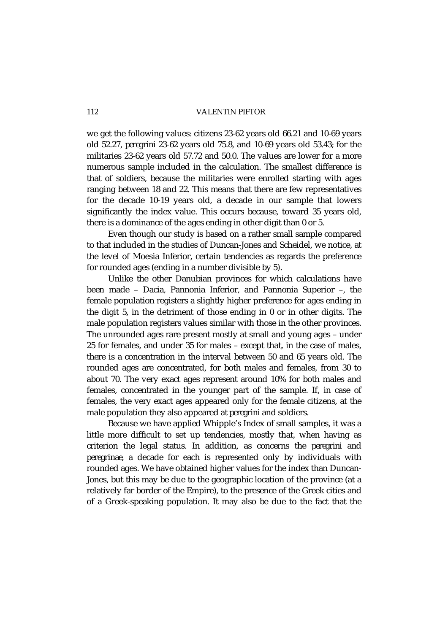we get the following values: citizens 23-62 years old 66.21 and 10-69 years old 52.27, *peregrini* 23-62 years old 75.8, and 10-69 years old 53.43; for the militaries 23-62 years old 57.72 and 50.0. The values are lower for a more numerous sample included in the calculation. The smallest difference is that of soldiers, because the militaries were enrolled starting with ages ranging between 18 and 22. This means that there are few representatives for the decade 10-19 years old, a decade in our sample that lowers significantly the index value. This occurs because, toward 35 years old, there is a dominance of the ages ending in other digit than 0 or 5.

Even though our study is based on a rather small sample compared to that included in the studies of Duncan-Jones and Scheidel, we notice, at the level of Moesia Inferior, certain tendencies as regards the preference for rounded ages (ending in a number divisible by 5).

Unlike the other Danubian provinces for which calculations have been made – Dacia, Pannonia Inferior, and Pannonia Superior –, the female population registers a slightly higher preference for ages ending in the digit 5, in the detriment of those ending in 0 or in other digits. The male population registers values similar with those in the other provinces. The unrounded ages rare present mostly at small and young ages – under 25 for females, and under 35 for males – except that, in the case of males, there is a concentration in the interval between 50 and 65 years old. The rounded ages are concentrated, for both males and females, from 30 to about 70. The very exact ages represent around 10% for both males and females, concentrated in the younger part of the sample. If, in case of females, the very exact ages appeared only for the female citizens, at the male population they also appeared at *peregrini* and soldiers.

Because we have applied Whipple's Index of small samples, it was a little more difficult to set up tendencies, mostly that, when having as criterion the legal status. In addition, as concerns the *peregrini* and *peregrinae*, a decade for each is represented only by individuals with rounded ages. We have obtained higher values for the index than Duncan-Jones, but this may be due to the geographic location of the province (at a relatively far border of the Empire), to the presence of the Greek cities and of a Greek-speaking population. It may also be due to the fact that the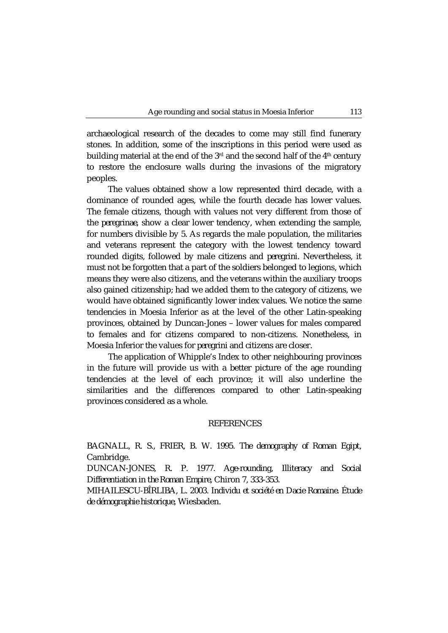archaeological research of the decades to come may still find funerary stones. In addition, some of the inscriptions in this period were used as building material at the end of the  $3<sup>rd</sup>$  and the second half of the  $4<sup>th</sup>$  century to restore the enclosure walls during the invasions of the migratory peoples.

The values obtained show a low represented third decade, with a dominance of rounded ages, while the fourth decade has lower values. The female citizens, though with values not very different from those of the *peregrinae*, show a clear lower tendency, when extending the sample, for numbers divisible by 5. As regards the male population, the militaries and veterans represent the category with the lowest tendency toward rounded digits, followed by male citizens and *peregrini*. Nevertheless, it must not be forgotten that a part of the soldiers belonged to legions, which means they were also citizens, and the veterans within the auxiliary troops also gained citizenship; had we added them to the category of citizens, we would have obtained significantly lower index values. We notice the same tendencies in Moesia Inferior as at the level of the other Latin-speaking provinces, obtained by Duncan-Jones – lower values for males compared to females and for citizens compared to non-citizens. Nonetheless, in Moesia Inferior the values for *peregrini* and citizens are closer.

The application of Whipple's Index to other neighbouring provinces in the future will provide us with a better picture of the age rounding tendencies at the level of each province; it will also underline the similarities and the differences compared to other Latin-speaking provinces considered as a whole.

# REFERENCES

BAGNALL, R. S., FRIER, B. W. 1995. *The demography of Roman Egipt*, Cambridge.

DUNCAN-JONES, R. P. 1977. *Age-rounding, Illiteracy and Social Differentiation in the Roman Empire*, Chiron 7, 333-353.

MIHAILESCU-BÎRLIBA, L. 2003. *Individu et société en Dacie Romaine. Étude de démographie historique*, Wiesbaden.